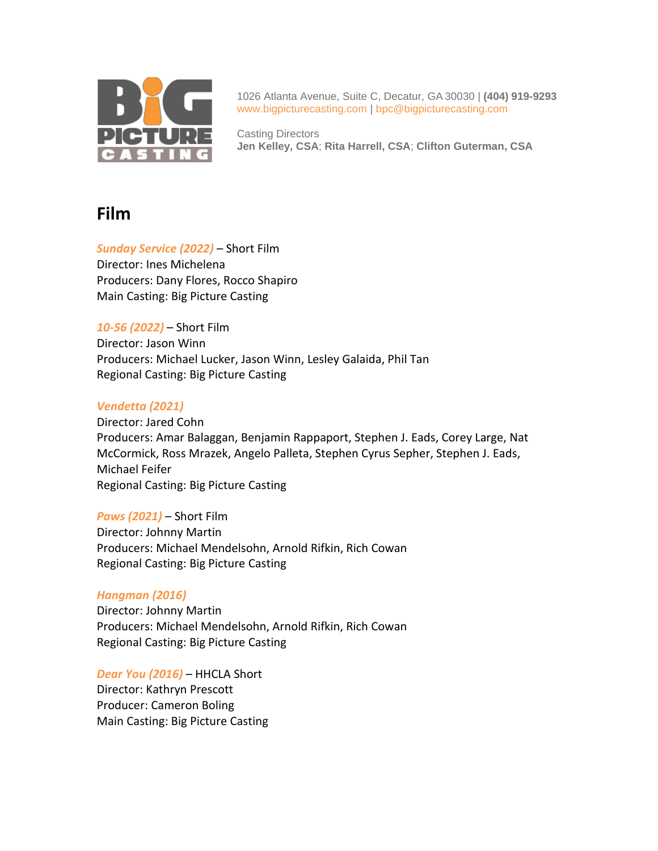

1026 Atlanta Avenue, Suite C, Decatur, GA 30030 | **(404) 919-9293**  [www.bigpicturecasting.com](http://www.bigpicturecasting.com/) | [bpc@bigpicturecasting.com](mailto:bpc@bigpicturecasting.com)

Casting Directors **Jen Kelley, CSA**; **Rita Harrell, CSA**; **Clifton Guterman, CSA**

# **Film**

*Sunday Service (2022)* – Short Film Director: Ines Michelena Producers: Dany Flores, Rocco Shapiro Main Casting: Big Picture Casting

*10-56 (2022)* – Short Film Director: Jason Winn Producers: Michael Lucker, Jason Winn, Lesley Galaida, Phil Tan Regional Casting: Big Picture Casting

# *Vendetta (2021)*

Director: Jared Cohn Producers: Amar Balaggan, Benjamin Rappaport, Stephen J. Eads, Corey Large, Nat McCormick, Ross Mrazek, Angelo Palleta, Stephen Cyrus Sepher, Stephen J. Eads, Michael Feifer Regional Casting: Big Picture Casting

*Paws (2021)* – Short Film Director: Johnny Martin Producers: Michael Mendelsohn, Arnold Rifkin, Rich Cowan Regional Casting: Big Picture Casting

# *Hangman (2016)*

Director: Johnny Martin Producers: Michael Mendelsohn, Arnold Rifkin, Rich Cowan Regional Casting: Big Picture Casting

*Dear You (2016)* – HHCLA Short Director: Kathryn Prescott Producer: Cameron Boling Main Casting: Big Picture Casting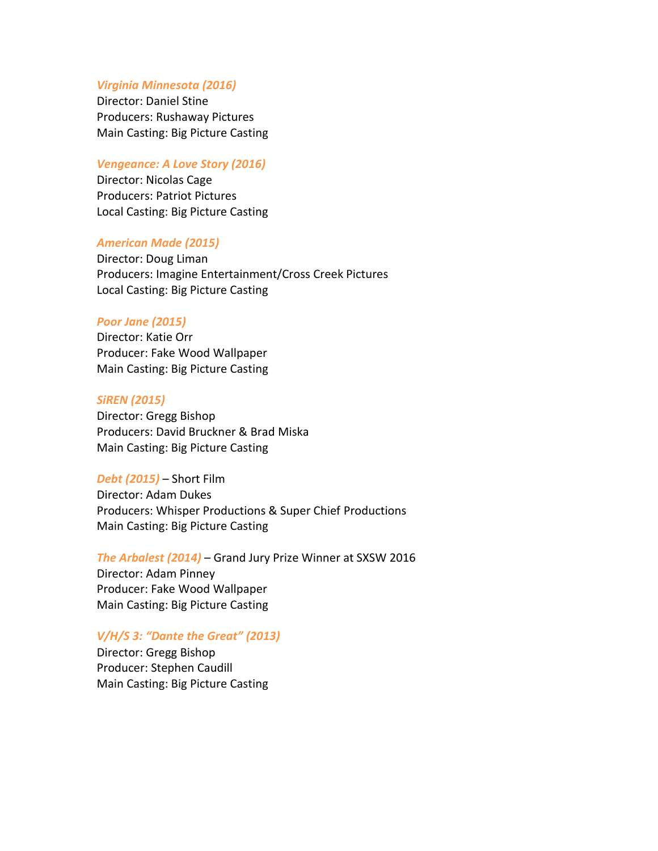# *Virginia Minnesota (2016)*

Director: Daniel Stine Producers: Rushaway Pictures Main Casting: Big Picture Casting

#### *Vengeance: A Love Story (2016)*

Director: Nicolas Cage Producers: Patriot Pictures Local Casting: Big Picture Casting

### *American Made (2015)*

Director: Doug Liman Producers: Imagine Entertainment/Cross Creek Pictures Local Casting: Big Picture Casting

## *Poor Jane (2015)*

Director: Katie Orr Producer: Fake Wood Wallpaper Main Casting: Big Picture Casting

#### *SiREN (2015)*

Director: Gregg Bishop Producers: David Bruckner & Brad Miska Main Casting: Big Picture Casting

#### *Debt (2015)* – Short Film

Director: Adam Dukes Producers: Whisper Productions & Super Chief Productions Main Casting: Big Picture Casting

*The Arbalest (2014)* – Grand Jury Prize Winner at SXSW 2016 Director: Adam Pinney Producer: Fake Wood Wallpaper Main Casting: Big Picture Casting

## *V/H/S 3: "Dante the Great" (2013)*

Director: Gregg Bishop Producer: Stephen Caudill Main Casting: Big Picture Casting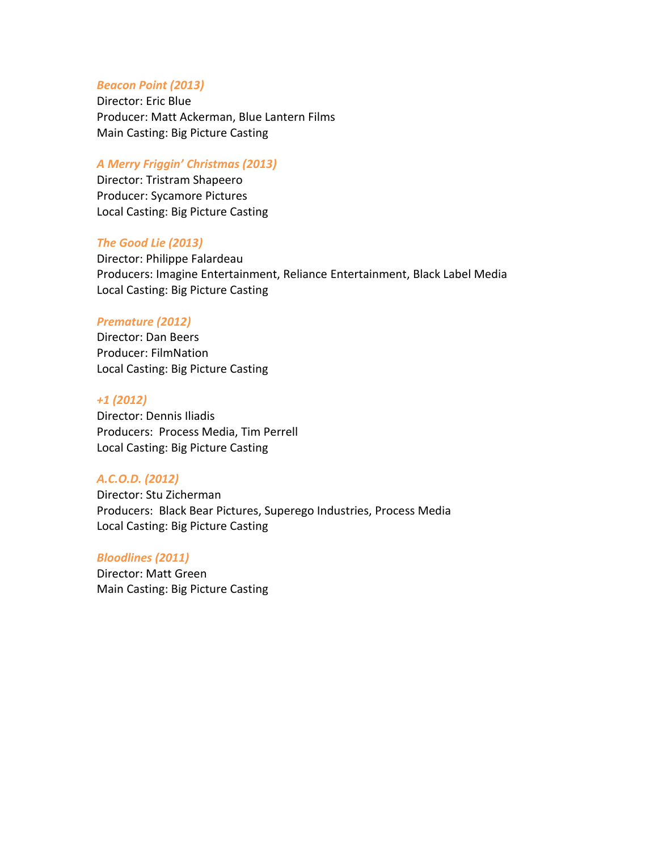#### *Beacon Point (2013)*

Director: Eric Blue Producer: Matt Ackerman, Blue Lantern Films Main Casting: Big Picture Casting

#### *A Merry Friggin' Christmas (2013)*

Director: Tristram Shapeero Producer: Sycamore Pictures Local Casting: Big Picture Casting

#### *The Good Lie (2013)*

Director: Philippe Falardeau Producers: Imagine Entertainment, Reliance Entertainment, Black Label Media Local Casting: Big Picture Casting

#### *Premature (2012)*

Director: Dan Beers Producer: FilmNation Local Casting: Big Picture Casting

#### *+1 (2012)*

Director: Dennis Iliadis Producers: Process Media, Tim Perrell Local Casting: Big Picture Casting

## *A.C.O.D. (2012)*

Director: Stu Zicherman Producers: Black Bear Pictures, Superego Industries, Process Media Local Casting: Big Picture Casting

#### *Bloodlines (2011)*

Director: Matt Green Main Casting: Big Picture Casting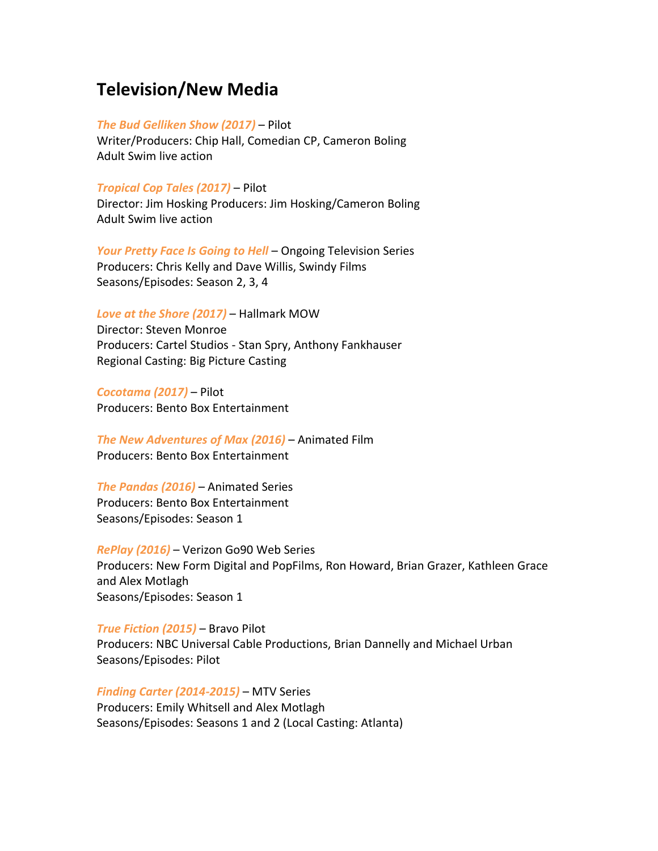# **Television/New Media**

#### *The Bud Gelliken Show (2017)* – Pilot

Writer/Producers: Chip Hall, Comedian CP, Cameron Boling Adult Swim live action

### *Tropical Cop Tales (2017)* – Pilot

Director: Jim Hosking Producers: Jim Hosking/Cameron Boling Adult Swim live action

*Your Pretty Face Is Going to Hell* – Ongoing Television Series Producers: Chris Kelly and Dave Willis, Swindy Films Seasons/Episodes: Season 2, 3, 4

*Love at the Shore (2017)* – Hallmark MOW

Director: Steven Monroe Producers: Cartel Studios - Stan Spry, Anthony Fankhauser Regional Casting: Big Picture Casting

*Cocotama (2017)* – Pilot Producers: Bento Box Entertainment

*The New Adventures of Max (2016)* – Animated Film Producers: Bento Box Entertainment

*The Pandas (2016)* – Animated Series Producers: Bento Box Entertainment Seasons/Episodes: Season 1

*RePlay (2016)* – Verizon Go90 Web Series Producers: New Form Digital and PopFilms, Ron Howard, Brian Grazer, Kathleen Grace and Alex Motlagh Seasons/Episodes: Season 1

*True Fiction (2015)* – Bravo Pilot Producers: NBC Universal Cable Productions, Brian Dannelly and Michael Urban Seasons/Episodes: Pilot

*Finding Carter (2014-2015)* – MTV Series Producers: Emily Whitsell and Alex Motlagh Seasons/Episodes: Seasons 1 and 2 (Local Casting: Atlanta)